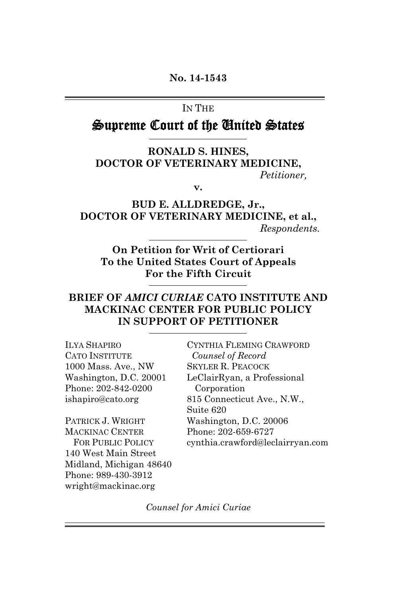#### IN THE

## Supreme Court of the United States

#### **RONALD S. HINES, DOCTOR OF VETERINARY MEDICINE,** *Petitioner,*

**v.**

**BUD E. ALLDREDGE, Jr., DOCTOR OF VETERINARY MEDICINE, et al.,** *Respondents.*

**On Petition for Writ of Certiorari To the United States Court of Appeals For the Fifth Circuit**

#### **BRIEF OF** *AMICI CURIAE* **CATO INSTITUTE AND MACKINAC CENTER FOR PUBLIC POLICY IN SUPPORT OF PETITIONER**

| <b>ILYA SHAPIRO</b>      | CYNTHIA FLEMING CRAWFORD         |
|--------------------------|----------------------------------|
| CATO INSTITUTE           | Counsel of Record                |
| 1000 Mass. Ave., NW      | <b>SKYLER R. PEACOCK</b>         |
| Washington, D.C. 20001   | LeClairRyan, a Professional      |
| Phone: 202-842-0200      | Corporation                      |
| ishapiro@cato.org        | 815 Connecticut Ave., N.W.,      |
|                          | Suite 620                        |
| PATRICK J. WRIGHT        | Washington, D.C. 20006           |
| <b>MACKINAC CENTER</b>   | Phone: 202-659-6727              |
| <b>FOR PUBLIC POLICY</b> | cynthia.crawford@leclairryan.com |
| 140 West Main Street     |                                  |
| Midland, Michigan 48640  |                                  |
| Phone: 989-430-3912      |                                  |

*Counsel for Amici Curiae*

wright@mackinac.org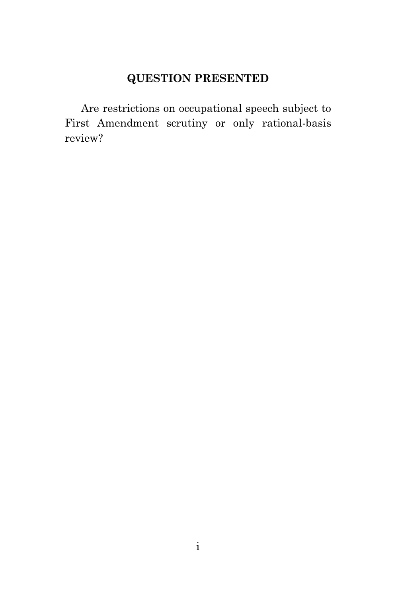### **QUESTION PRESENTED**

Are restrictions on occupational speech subject to First Amendment scrutiny or only rational-basis review?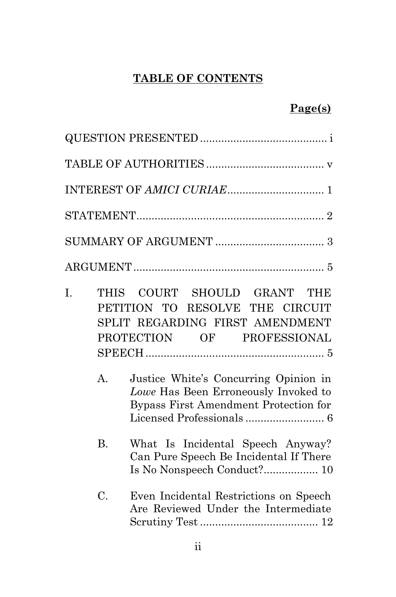# **TABLE OF CONTENTS**

### **Page(s)**

| I. | $\mathbf{A}$ . | THIS COURT SHOULD GRANT THE<br>PETITION TO RESOLVE THE CIRCUIT<br>SPLIT REGARDING FIRST AMENDMENT<br>PROTECTION OF PROFESSIONAL<br>Justice White's Concurring Opinion in<br>Lowe Has Been Erroneously Invoked to<br>Bypass First Amendment Protection for |
|----|----------------|-----------------------------------------------------------------------------------------------------------------------------------------------------------------------------------------------------------------------------------------------------------|
|    | <b>B.</b>      | What Is Incidental Speech Anyway?<br>Can Pure Speech Be Incidental If There<br>Is No Nonspeech Conduct? 10                                                                                                                                                |
|    | C.             | Even Incidental Restrictions on Speech<br>Are Reviewed Under the Intermediate                                                                                                                                                                             |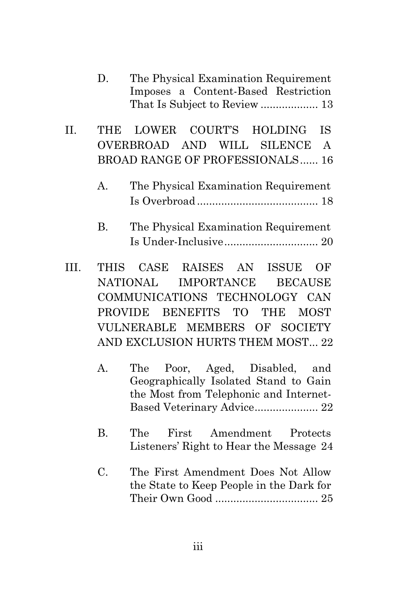| D. | The Physical Examination Requirement |
|----|--------------------------------------|
|    | Imposes a Content-Based Restriction  |
|    |                                      |

II. THE LOWER COURT'S HOLDING IS OVERBROAD AND WILL SILENCE A BROAD RANGE OF PROFESSIONALS...... 16

- B. The Physical Examination Requirement Is Under-Inclusive............................... 20
- III. THIS CASE RAISES AN ISSUE OF NATIONAL IMPORTANCE BECAUSE COMMUNICATIONS TECHNOLOGY CAN PROVIDE BENEFITS TO THE MOST VULNERABLE MEMBERS OF SOCIETY AND EXCLUSION HURTS THEM MOST... 22
	- A. The Poor, Aged, Disabled, and Geographically Isolated Stand to Gain the Most from Telephonic and Internet-Based Veterinary Advice..................... 22
	- B. The First Amendment Protects Listeners' Right to Hear the Message 24
	- C. The First Amendment Does Not Allow the State to Keep People in the Dark for Their Own Good .................................. 25

A. The Physical Examination Requirement Is Overbroad ........................................ 18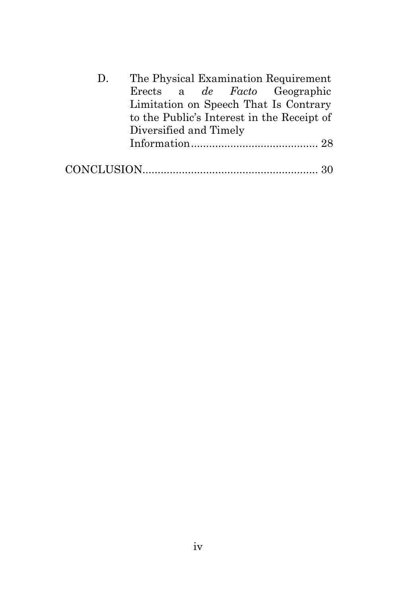| $D_{\cdot}$ |                        |  | The Physical Examination Requirement       |
|-------------|------------------------|--|--------------------------------------------|
|             |                        |  | Erects a <i>de Facto</i> Geographic        |
|             |                        |  | Limitation on Speech That Is Contrary      |
|             |                        |  | to the Public's Interest in the Receipt of |
|             | Diversified and Timely |  |                                            |
|             |                        |  |                                            |
|             |                        |  |                                            |
|             |                        |  |                                            |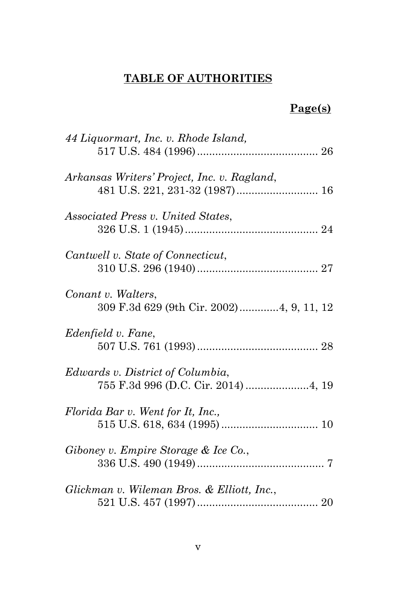# **TABLE OF AUTHORITIES**

### **Page(s)**

| 44 Liquormart, Inc. v. Rhode Island,                                            |
|---------------------------------------------------------------------------------|
| Arkansas Writers' Project, Inc. v. Ragland,                                     |
| <i>Associated Press v. United States,</i>                                       |
| Cantwell v. State of Connecticut,                                               |
| Conant v. Walters,<br>309 F.3d 629 (9th Cir. 2002)4, 9, 11, 12                  |
| Edenfield v. Fane,                                                              |
| <i>Edwards v. District of Columbia,</i><br>755 F.3d 996 (D.C. Cir. 2014)  4, 19 |
| Florida Bar v. Went for It, Inc.,                                               |
| Giboney v. Empire Storage & Ice Co.,                                            |
| Glickman v. Wileman Bros. & Elliott, Inc.,                                      |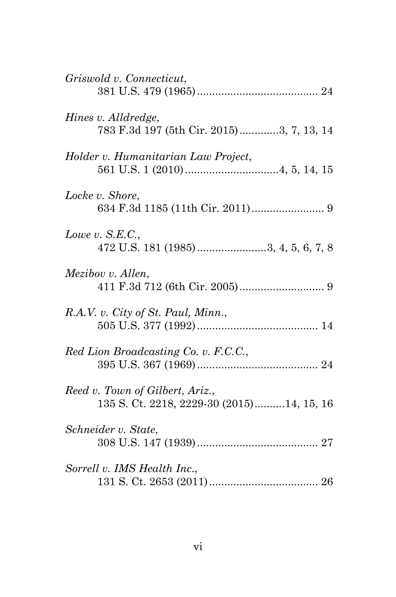| Griswold v. Connecticut,                                                     |
|------------------------------------------------------------------------------|
| Hines v. Alldredge,<br>783 F.3d 197 (5th Cir. 2015)3, 7, 13, 14              |
| Holder v. Humanitarian Law Project,                                          |
| Locke v. Shore,                                                              |
| Lowe v. $S.E.C.,$<br>472 U.S. 181 (1985)3, 4, 5, 6, 7, 8                     |
| Mezibov v. Allen,                                                            |
| R.A.V. v. City of St. Paul, Minn.,                                           |
| Red Lion Broadcasting Co. v. F.C.C.,                                         |
| Reed v. Town of Gilbert, Ariz.,<br>135 S. Ct. 2218, 2229-30 (2015)14, 15, 16 |
| Schneider v. State,                                                          |
| Sorrell v. IMS Health Inc.,                                                  |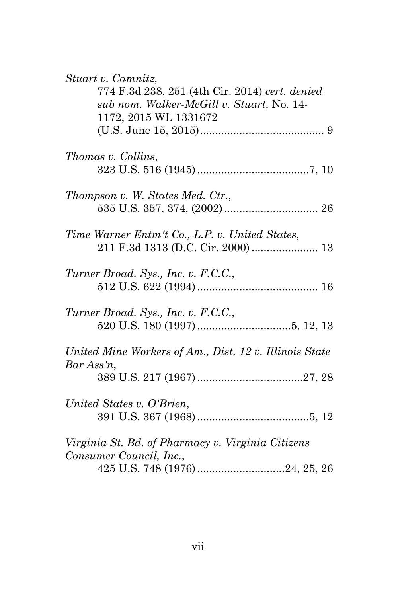| Stuart v. Camnitz,<br>774 F.3d 238, 251 (4th Cir. 2014) cert. denied |
|----------------------------------------------------------------------|
| sub nom. Walker-McGill v. Stuart, No. 14-                            |
| 1172, 2015 WL 1331672                                                |
|                                                                      |
| Thomas v. Collins,                                                   |
|                                                                      |
| Thompson v. W. States Med. Ctr.,                                     |
|                                                                      |
| Time Warner Entm't Co., L.P. v. United States,                       |
| 211 F.3d 1313 (D.C. Cir. 2000)  13                                   |
| Turner Broad. Sys., Inc. v. F.C.C.,                                  |
|                                                                      |
| Turner Broad. Sys., Inc. v. F.C.C.,                                  |
|                                                                      |
| United Mine Workers of Am., Dist. 12 v. Illinois State               |
| $Bar Ass'n$ ,                                                        |
|                                                                      |
| United States v. O'Brien,                                            |
|                                                                      |
| Virginia St. Bd. of Pharmacy v. Virginia Citizens                    |
| Consumer Council, Inc.,                                              |
| 425 U.S. 748 (1976)24, 25, 26                                        |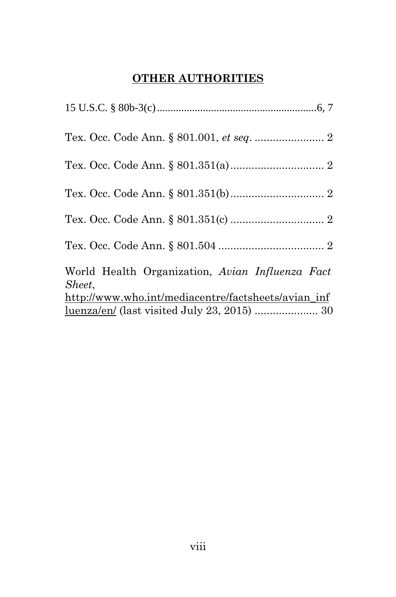# **OTHER AUTHORITIES**

| World Health Organization, Avian Influenza Fact<br>Sheet, |  |
|-----------------------------------------------------------|--|
| http://www.who.int/mediacentre/factsheets/avian_inf       |  |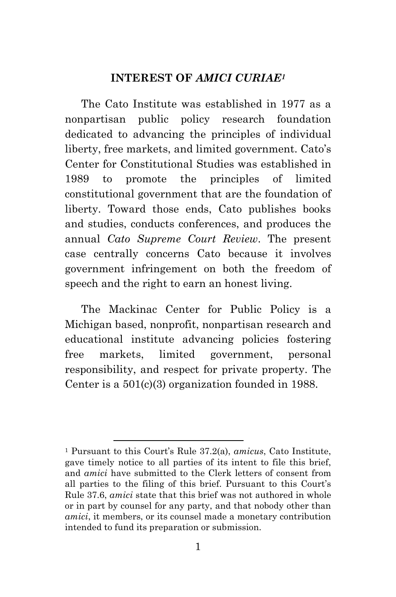#### **INTEREST OF** *AMICI CURIAE[1](#page-9-0)*

The Cato Institute was established in 1977 as a nonpartisan public policy research foundation dedicated to advancing the principles of individual liberty, free markets, and limited government. Cato's Center for Constitutional Studies was established in 1989 to promote the principles of limited constitutional government that are the foundation of liberty. Toward those ends, Cato publishes books and studies, conducts conferences, and produces the annual *Cato Supreme Court Review*. The present case centrally concerns Cato because it involves government infringement on both the freedom of speech and the right to earn an honest living.

The Mackinac Center for Public Policy is a Michigan based, nonprofit, nonpartisan research and educational institute advancing policies fostering free markets, limited government, personal responsibility, and respect for private property. The Center is a 501(c)(3) organization founded in 1988.

<span id="page-9-0"></span><sup>1</sup> Pursuant to this Court's Rule 37.2(a), *amicus*, Cato Institute, gave timely notice to all parties of its intent to file this brief, and *amici* have submitted to the Clerk letters of consent from all parties to the filing of this brief. Pursuant to this Court's Rule 37.6, *amici* state that this brief was not authored in whole or in part by counsel for any party, and that nobody other than *amici*, it members, or its counsel made a monetary contribution intended to fund its preparation or submission.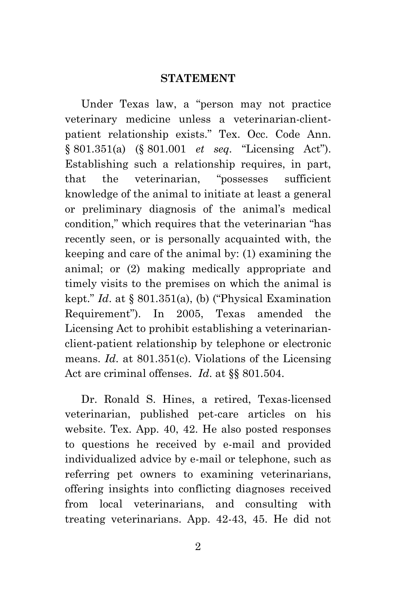#### **STATEMENT**

Under Texas law, a "person may not practice veterinary medicine unless a veterinarian-clientpatient relationship exists." Tex. Occ. Code Ann. § 801.351(a) (§ 801.001 *et seq.* "Licensing Act"). Establishing such a relationship requires, in part, that the veterinarian, "possesses sufficient knowledge of the animal to initiate at least a general or preliminary diagnosis of the animal's medical condition," which requires that the veterinarian "has recently seen, or is personally acquainted with, the keeping and care of the animal by: (1) examining the animal; or (2) making medically appropriate and timely visits to the premises on which the animal is kept." *Id*. at § 801.351(a), (b) ("Physical Examination Requirement"). In 2005, Texas amended the Licensing Act to prohibit establishing a veterinarianclient-patient relationship by telephone or electronic means. *Id*. at 801.351(c). Violations of the Licensing Act are criminal offenses. *Id*. at §§ 801.504.

Dr. Ronald S. Hines, a retired, Texas-licensed veterinarian, published pet-care articles on his website. Tex. App. 40, 42. He also posted responses to questions he received by e-mail and provided individualized advice by e-mail or telephone, such as referring pet owners to examining veterinarians, offering insights into conflicting diagnoses received from local veterinarians, and consulting with treating veterinarians. App. 42-43, 45. He did not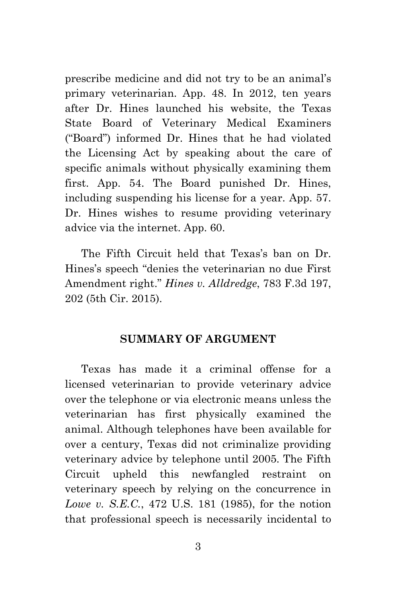prescribe medicine and did not try to be an animal's primary veterinarian. App. 48. In 2012, ten years after Dr. Hines launched his website, the Texas State Board of Veterinary Medical Examiners ("Board") informed Dr. Hines that he had violated the Licensing Act by speaking about the care of specific animals without physically examining them first. App. 54. The Board punished Dr. Hines, including suspending his license for a year. App. 57. Dr. Hines wishes to resume providing veterinary advice via the internet. App. 60.

The Fifth Circuit held that Texas's ban on Dr. Hines's speech "denies the veterinarian no due First Amendment right." *Hines v. Alldredge*, 783 F.3d 197, 202 (5th Cir. 2015).

#### **SUMMARY OF ARGUMENT**

Texas has made it a criminal offense for a licensed veterinarian to provide veterinary advice over the telephone or via electronic means unless the veterinarian has first physically examined the animal. Although telephones have been available for over a century, Texas did not criminalize providing veterinary advice by telephone until 2005. The Fifth Circuit upheld this newfangled restraint on veterinary speech by relying on the concurrence in *Lowe v. S.E.C.*, 472 U.S. 181 (1985), for the notion that professional speech is necessarily incidental to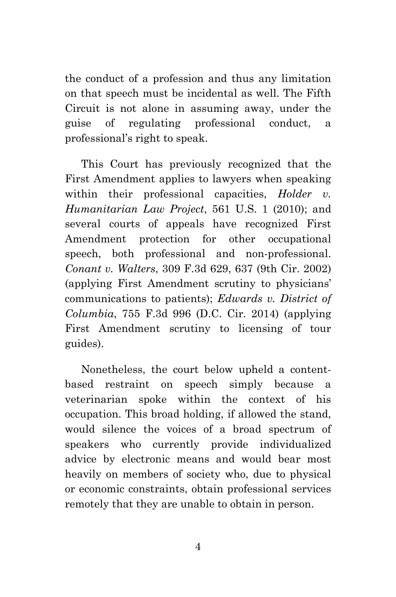the conduct of a profession and thus any limitation on that speech must be incidental as well. The Fifth Circuit is not alone in assuming away, under the guise of regulating professional conduct, a professional's right to speak.

This Court has previously recognized that the First Amendment applies to lawyers when speaking within their professional capacities, *Holder v. Humanitarian Law Project*, 561 U.S. 1 (2010); and several courts of appeals have recognized First Amendment protection for other occupational speech, both professional and non-professional. *Conant v. Walters*, 309 F.3d 629, 637 (9th Cir. 2002) (applying First Amendment scrutiny to physicians' communications to patients); *Edwards v. District of Columbia*, 755 F.3d 996 (D.C. Cir. 2014) (applying First Amendment scrutiny to licensing of tour guides).

Nonetheless, the court below upheld a contentbased restraint on speech simply because a veterinarian spoke within the context of his occupation. This broad holding, if allowed the stand, would silence the voices of a broad spectrum of speakers who currently provide individualized advice by electronic means and would bear most heavily on members of society who, due to physical or economic constraints, obtain professional services remotely that they are unable to obtain in person.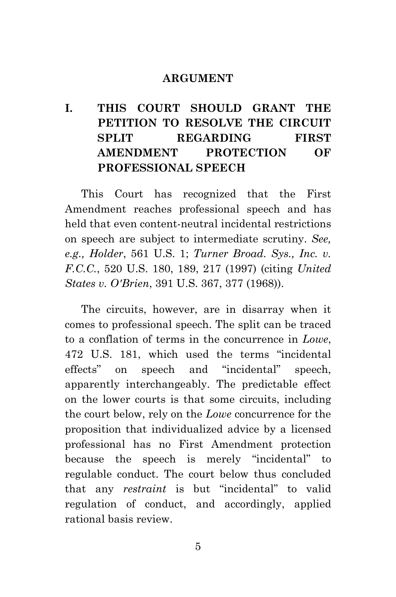#### **ARGUMENT**

## **I. THIS COURT SHOULD GRANT THE PETITION TO RESOLVE THE CIRCUIT SPLIT REGARDING FIRST AMENDMENT PROTECTION OF PROFESSIONAL SPEECH**

This Court has recognized that the First Amendment reaches professional speech and has held that even content-neutral incidental restrictions on speech are subject to intermediate scrutiny. *See, e.g., Holder*, 561 U.S. 1; *Turner Broad. Sys., Inc. v. F.C.C.*, 520 U.S. 180, 189, 217 (1997) (citing *United States v. O'Brien*, 391 U.S. 367, 377 (1968)).

The circuits, however, are in disarray when it comes to professional speech. The split can be traced to a conflation of terms in the concurrence in *Lowe*, 472 U.S. 181, which used the terms "incidental effects" on speech and "incidental" speech, apparently interchangeably. The predictable effect on the lower courts is that some circuits, including the court below, rely on the *Lowe* concurrence for the proposition that individualized advice by a licensed professional has no First Amendment protection because the speech is merely "incidental" to regulable conduct. The court below thus concluded that any *restraint* is but "incidental" to valid regulation of conduct, and accordingly, applied rational basis review.

5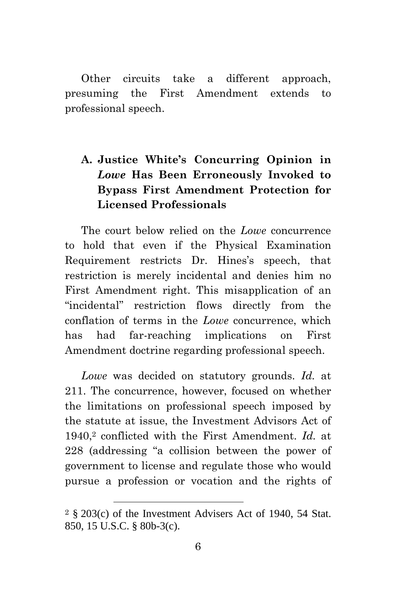Other circuits take a different approach, presuming the First Amendment extends to professional speech.

## **A. Justice White's Concurring Opinion in** *Lowe* **Has Been Erroneously Invoked to Bypass First Amendment Protection for Licensed Professionals**

The court below relied on the *Lowe* concurrence to hold that even if the Physical Examination Requirement restricts Dr. Hines's speech, that restriction is merely incidental and denies him no First Amendment right. This misapplication of an "incidental" restriction flows directly from the conflation of terms in the *Lowe* concurrence, which has had far-reaching implications on First Amendment doctrine regarding professional speech.

*Lowe* was decided on statutory grounds. *Id.* at 211. The concurrence, however, focused on whether the limitations on professional speech imposed by the statute at issue, the Investment Advisors Act of 1940,[2](#page-14-0) conflicted with the First Amendment. *Id.* at 228 (addressing "a collision between the power of government to license and regulate those who would pursue a profession or vocation and the rights of

<span id="page-14-0"></span><sup>2</sup> § 203(c) of the Investment Advisers Act of 1940, 54 Stat. 850, 15 U.S.C. § 80b-3(c).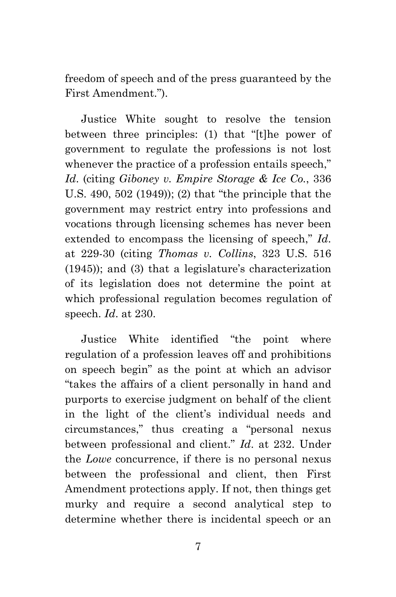freedom of speech and of the press guaranteed by the First Amendment.").

Justice White sought to resolve the tension between three principles: (1) that "[t]he power of government to regulate the professions is not lost whenever the practice of a profession entails speech," *Id*. (citing *Giboney v. Empire Storage & Ice Co.*, 336 U.S. 490, 502 (1949)); (2) that "the principle that the government may restrict entry into professions and vocations through licensing schemes has never been extended to encompass the licensing of speech," *Id*. at 229-30 (citing *Thomas v. Collins*, 323 U.S. 516 (1945)); and (3) that a legislature's characterization of its legislation does not determine the point at which professional regulation becomes regulation of speech. *Id*. at 230.

Justice White identified "the point where regulation of a profession leaves off and prohibitions on speech begin" as the point at which an advisor "takes the affairs of a client personally in hand and purports to exercise judgment on behalf of the client in the light of the client's individual needs and circumstances," thus creating a "personal nexus between professional and client." *Id*. at 232. Under the *Lowe* concurrence, if there is no personal nexus between the professional and client, then First Amendment protections apply. If not, then things get murky and require a second analytical step to determine whether there is incidental speech or an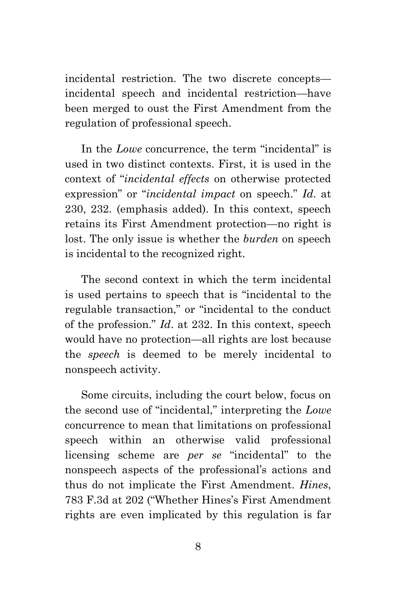incidental restriction. The two discrete concepts incidental speech and incidental restriction—have been merged to oust the First Amendment from the regulation of professional speech.

In the *Lowe* concurrence, the term "incidental" is used in two distinct contexts. First, it is used in the context of "*incidental effects* on otherwise protected expression" or "*incidental impact* on speech." *Id*. at 230, 232. (emphasis added). In this context, speech retains its First Amendment protection—no right is lost. The only issue is whether the *burden* on speech is incidental to the recognized right.

The second context in which the term incidental is used pertains to speech that is "incidental to the regulable transaction," or "incidental to the conduct of the profession." *Id*. at 232. In this context, speech would have no protection—all rights are lost because the *speech* is deemed to be merely incidental to nonspeech activity.

Some circuits, including the court below, focus on the second use of "incidental," interpreting the *Lowe* concurrence to mean that limitations on professional speech within an otherwise valid professional licensing scheme are *per se* "incidental" to the nonspeech aspects of the professional's actions and thus do not implicate the First Amendment. *Hines*, 783 F.3d at 202 ("Whether Hines's First Amendment rights are even implicated by this regulation is far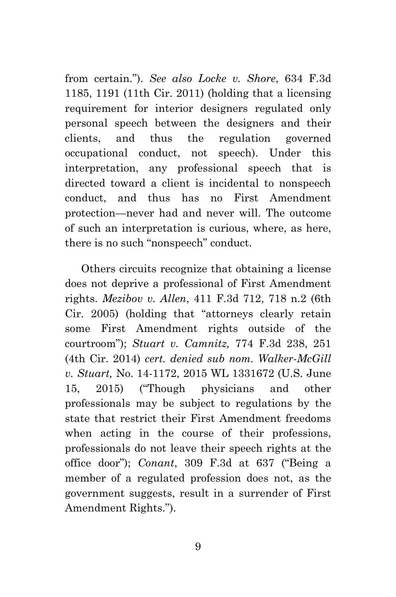from certain."). *See also Locke v. Shore*, 634 F.3d 1185, 1191 (11th Cir. 2011) (holding that a licensing requirement for interior designers regulated only personal speech between the designers and their clients, and thus the regulation governed occupational conduct, not speech). Under this interpretation, any professional speech that is directed toward a client is incidental to nonspeech conduct, and thus has no First Amendment protection—never had and never will. The outcome of such an interpretation is curious, where, as here, there is no such "nonspeech" conduct.

Others circuits recognize that obtaining a license does not deprive a professional of First Amendment rights. *Mezibov v. Allen*, 411 F.3d 712, 718 n.2 (6th Cir. 2005) (holding that "attorneys clearly retain some First Amendment rights outside of the courtroom"); *Stuart v. Camnitz,* 774 F.3d 238, 251 (4th Cir. 2014) *cert. denied sub nom. Walker-McGill v. Stuart,* No. 14-1172, 2015 WL 1331672 (U.S. June 15, 2015) ("Though physicians and other professionals may be subject to regulations by the state that restrict their First Amendment freedoms when acting in the course of their professions, professionals do not leave their speech rights at the office door"); *Conant*, 309 F.3d at 637 ("Being a member of a regulated profession does not, as the government suggests, result in a surrender of First Amendment Rights.").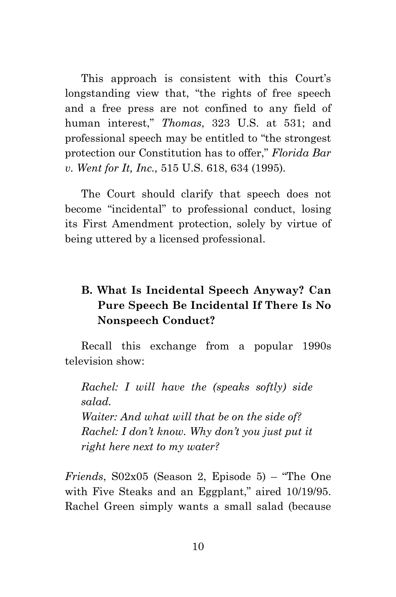This approach is consistent with this Court's longstanding view that, "the rights of free speech and a free press are not confined to any field of human interest," *Thomas*, 323 U.S. at 531; and professional speech may be entitled to "the strongest protection our Constitution has to offer," *Florida Bar v. Went for It, Inc.,* 515 U.S. 618, 634 (1995).

The Court should clarify that speech does not become "incidental" to professional conduct, losing its First Amendment protection, solely by virtue of being uttered by a licensed professional.

## **B. What Is Incidental Speech Anyway? Can Pure Speech Be Incidental If There Is No Nonspeech Conduct?**

Recall this exchange from a popular 1990s television show:

*Rachel: I will have the (speaks softly) side salad. Waiter: And what will that be on the side of? Rachel: I don't know. Why don't you just put it right here next to my water?*

*Friends*, S02x05 (Season 2, Episode 5) – "The One with Five Steaks and an Eggplant," aired 10/19/95. Rachel Green simply wants a small salad (because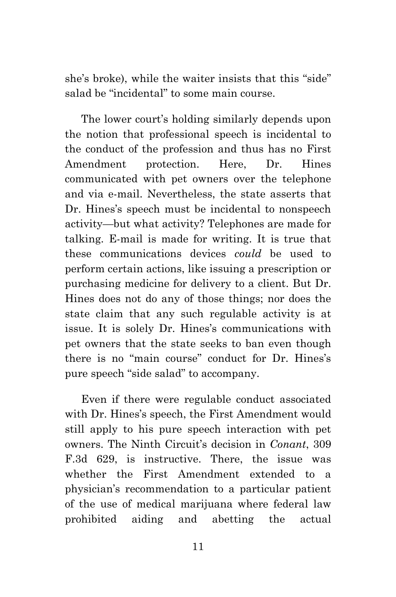she's broke), while the waiter insists that this "side" salad be "incidental" to some main course.

The lower court's holding similarly depends upon the notion that professional speech is incidental to the conduct of the profession and thus has no First Amendment protection. Here, Dr. Hines communicated with pet owners over the telephone and via e-mail. Nevertheless, the state asserts that Dr. Hines's speech must be incidental to nonspeech activity—but what activity? Telephones are made for talking. E-mail is made for writing. It is true that these communications devices *could* be used to perform certain actions, like issuing a prescription or purchasing medicine for delivery to a client. But Dr. Hines does not do any of those things; nor does the state claim that any such regulable activity is at issue. It is solely Dr. Hines's communications with pet owners that the state seeks to ban even though there is no "main course" conduct for Dr. Hines's pure speech "side salad" to accompany.

Even if there were regulable conduct associated with Dr. Hines's speech, the First Amendment would still apply to his pure speech interaction with pet owners. The Ninth Circuit's decision in *Conant*, 309 F.3d 629, is instructive. There, the issue was whether the First Amendment extended to a physician's recommendation to a particular patient of the use of medical marijuana where federal law prohibited aiding and abetting the actual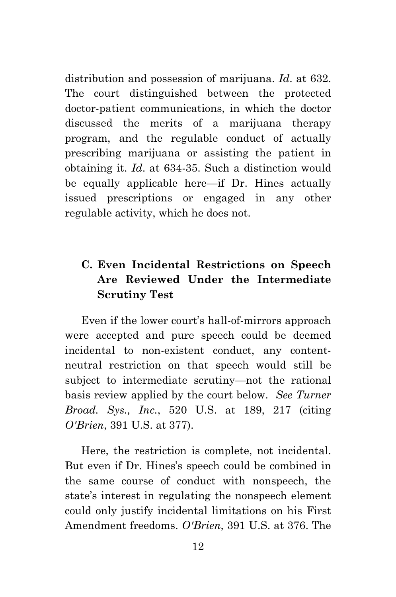distribution and possession of marijuana. *Id*. at 632. The court distinguished between the protected doctor-patient communications, in which the doctor discussed the merits of a marijuana therapy program, and the regulable conduct of actually prescribing marijuana or assisting the patient in obtaining it. *Id*. at 634-35. Such a distinction would be equally applicable here—if Dr. Hines actually issued prescriptions or engaged in any other regulable activity, which he does not.

### **C. Even Incidental Restrictions on Speech Are Reviewed Under the Intermediate Scrutiny Test**

Even if the lower court's hall-of-mirrors approach were accepted and pure speech could be deemed incidental to non-existent conduct, any contentneutral restriction on that speech would still be subject to intermediate scrutiny—not the rational basis review applied by the court below. *See Turner Broad. Sys., Inc.*, 520 U.S. at 189, 217 (citing *O'Brien*, 391 U.S. at 377).

Here, the restriction is complete, not incidental. But even if Dr. Hines's speech could be combined in the same course of conduct with nonspeech, the state's interest in regulating the nonspeech element could only justify incidental limitations on his First Amendment freedoms. *O'Brien*, 391 U.S. at 376. The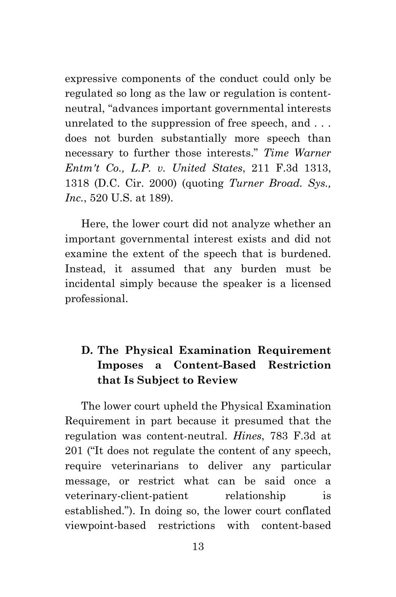expressive components of the conduct could only be regulated so long as the law or regulation is contentneutral, "advances important governmental interests unrelated to the suppression of free speech, and . . . does not burden substantially more speech than necessary to further those interests." *Time Warner Entm't Co., L.P. v. United States*, 211 F.3d 1313, 1318 (D.C. Cir. 2000) (quoting *Turner Broad. Sys., Inc.*, 520 U.S. at 189).

Here, the lower court did not analyze whether an important governmental interest exists and did not examine the extent of the speech that is burdened. Instead, it assumed that any burden must be incidental simply because the speaker is a licensed professional.

## **D. The Physical Examination Requirement Imposes a Content-Based Restriction that Is Subject to Review**

The lower court upheld the Physical Examination Requirement in part because it presumed that the regulation was content-neutral. *Hines*, 783 F.3d at 201 ("It does not regulate the content of any speech, require veterinarians to deliver any particular message, or restrict what can be said once a veterinary-client-patient relationship is established."). In doing so, the lower court conflated viewpoint-based restrictions with content-based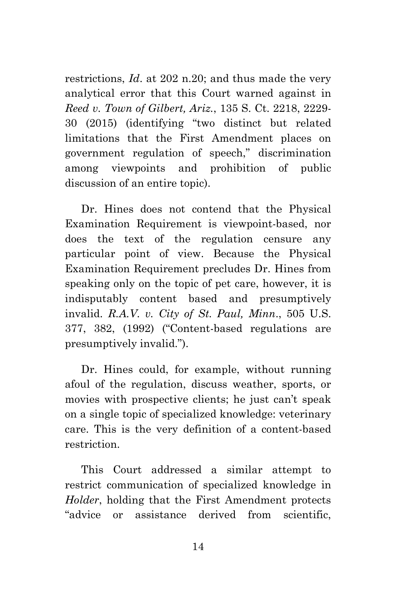restrictions, *Id*. at 202 n.20; and thus made the very analytical error that this Court warned against in *Reed v. Town of Gilbert, Ariz.*, 135 S. Ct. 2218, 2229- 30 (2015) (identifying "two distinct but related limitations that the First Amendment places on government regulation of speech," discrimination among viewpoints and prohibition of public discussion of an entire topic).

Dr. Hines does not contend that the Physical Examination Requirement is viewpoint-based, nor does the text of the regulation censure any particular point of view. Because the Physical Examination Requirement precludes Dr. Hines from speaking only on the topic of pet care, however, it is indisputably content based and presumptively invalid. *R.A.V. v. City of St. Paul, Minn*., 505 U.S. 377, 382, (1992) ("Content-based regulations are presumptively invalid.").

Dr. Hines could, for example, without running afoul of the regulation, discuss weather, sports, or movies with prospective clients; he just can't speak on a single topic of specialized knowledge: veterinary care. This is the very definition of a content-based restriction.

This Court addressed a similar attempt to restrict communication of specialized knowledge in *Holder*, holding that the First Amendment protects "advice or assistance derived from scientific,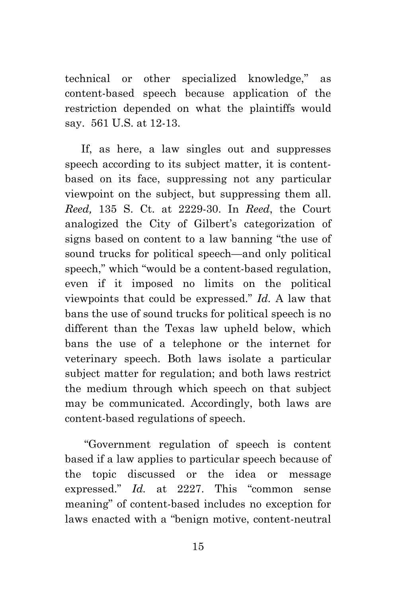technical or other specialized knowledge," as content-based speech because application of the restriction depended on what the plaintiffs would say. 561 U.S. at 12-13.

If, as here, a law singles out and suppresses speech according to its subject matter, it is contentbased on its face, suppressing not any particular viewpoint on the subject, but suppressing them all. *Reed,* 135 S. Ct. at 2229-30. In *Reed*, the Court analogized the City of Gilbert's categorization of signs based on content to a law banning "the use of sound trucks for political speech—and only political speech," which "would be a content-based regulation, even if it imposed no limits on the political viewpoints that could be expressed." *Id.* A law that bans the use of sound trucks for political speech is no different than the Texas law upheld below, which bans the use of a telephone or the internet for veterinary speech. Both laws isolate a particular subject matter for regulation; and both laws restrict the medium through which speech on that subject may be communicated. Accordingly, both laws are content-based regulations of speech.

"Government regulation of speech is content based if a law applies to particular speech because of the topic discussed or the idea or message expressed." *Id.* at 2227. This "common sense meaning" of content-based includes no exception for laws enacted with a "benign motive, content-neutral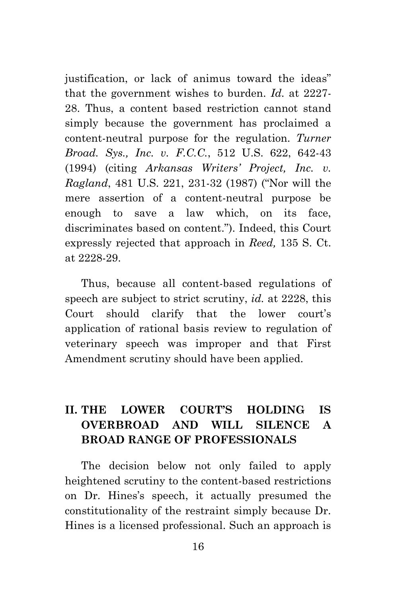justification, or lack of animus toward the ideas" that the government wishes to burden. *Id.* at 2227- 28. Thus, a content based restriction cannot stand simply because the government has proclaimed a content-neutral purpose for the regulation. *Turner Broad. Sys., Inc. v. F.C.C.*, 512 U.S. 622, 642-43 (1994) (citing *Arkansas Writers' Project, Inc. v. Ragland*, 481 U.S. 221, 231-32 (1987) ("Nor will the mere assertion of a content-neutral purpose be enough to save a law which, on its face, discriminates based on content."). Indeed, this Court expressly rejected that approach in *Reed,* 135 S. Ct. at 2228-29.

Thus, because all content-based regulations of speech are subject to strict scrutiny, *id.* at 2228, this Court should clarify that the lower court's application of rational basis review to regulation of veterinary speech was improper and that First Amendment scrutiny should have been applied.

## **II. THE LOWER COURT'S HOLDING IS OVERBROAD AND WILL SILENCE A BROAD RANGE OF PROFESSIONALS**

The decision below not only failed to apply heightened scrutiny to the content-based restrictions on Dr. Hines's speech, it actually presumed the constitutionality of the restraint simply because Dr. Hines is a licensed professional. Such an approach is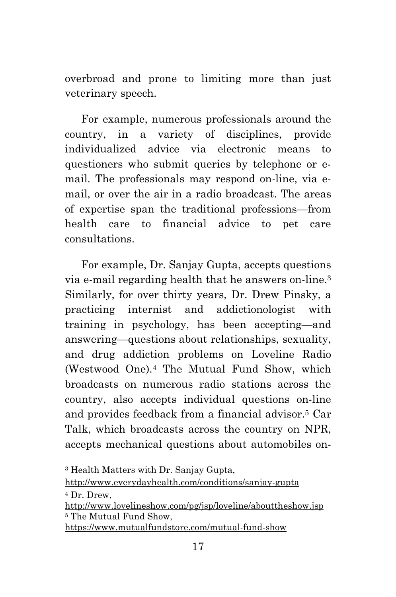overbroad and prone to limiting more than just veterinary speech.

For example, numerous professionals around the country, in a variety of disciplines, provide individualized advice via electronic means to questioners who submit queries by telephone or email. The professionals may respond on-line, via email, or over the air in a radio broadcast. The areas of expertise span the traditional professions—from health care to financial advice to pet care consultations.

For example, Dr. Sanjay Gupta, accepts questions via e-mail regarding health that he answers on-line.[3](#page-25-0) Similarly, for over thirty years, Dr. Drew Pinsky, a practicing internist and addictionologist with training in psychology, has been accepting—and answering—questions about relationships, sexuality, and drug addiction problems on Loveline Radio (Westwood One).[4](#page-25-1) The Mutual Fund Show, which broadcasts on numerous radio stations across the country, also accepts individual questions on-line and provides feedback from a financial advisor.[5](#page-25-2) Car Talk, which broadcasts across the country on NPR, accepts mechanical questions about automobiles on-

<span id="page-25-0"></span><sup>3</sup> Health Matters with Dr. Sanjay Gupta,

<sup>4</sup> Dr. Drew,

<span id="page-25-1"></span>http://www.everydayhealth.com/conditions/sanjay-gupta

<span id="page-25-2"></span>http://www.lovelineshow.com/pg/jsp/loveline/abouttheshow.jsp <sup>5</sup> The Mutual Fund Show,

https://www.mutualfundstore.com/mutual-fund-show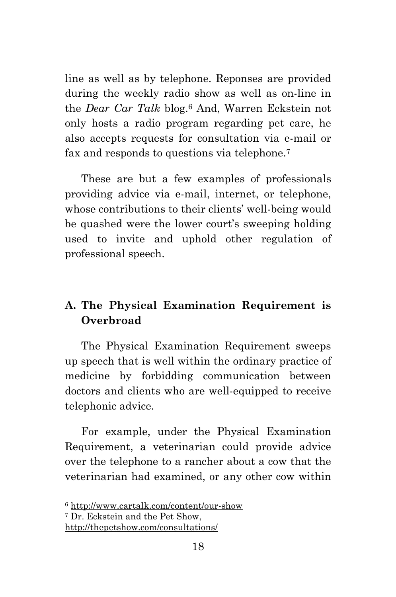line as well as by telephone. Reponses are provided during the weekly radio show as well as on-line in the *Dear Car Talk* blog.[6](#page-26-0) And, Warren Eckstein not only hosts a radio program regarding pet care, he also accepts requests for consultation via e-mail or fax and responds to questions via telephone.[7](#page-26-1)

These are but a few examples of professionals providing advice via e-mail, internet, or telephone, whose contributions to their clients' well-being would be quashed were the lower court's sweeping holding used to invite and uphold other regulation of professional speech.

### **A. The Physical Examination Requirement is Overbroad**

The Physical Examination Requirement sweeps up speech that is well within the ordinary practice of medicine by forbidding communication between doctors and clients who are well-equipped to receive telephonic advice.

For example, under the Physical Examination Requirement, a veterinarian could provide advice over the telephone to a rancher about a cow that the veterinarian had examined, or any other cow within

<span id="page-26-1"></span><span id="page-26-0"></span><sup>6</sup> http://www.cartalk.com/content/our-show

<sup>7</sup> Dr. Eckstein and the Pet Show,

http://thepetshow.com/consultations/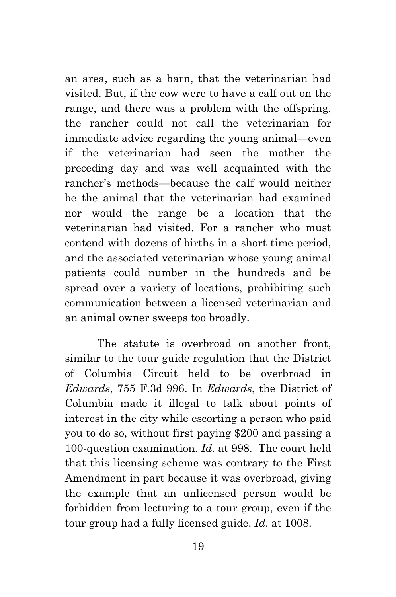an area, such as a barn, that the veterinarian had visited. But, if the cow were to have a calf out on the range, and there was a problem with the offspring, the rancher could not call the veterinarian for immediate advice regarding the young animal—even if the veterinarian had seen the mother the preceding day and was well acquainted with the rancher's methods—because the calf would neither be the animal that the veterinarian had examined nor would the range be a location that the veterinarian had visited. For a rancher who must contend with dozens of births in a short time period, and the associated veterinarian whose young animal patients could number in the hundreds and be spread over a variety of locations, prohibiting such communication between a licensed veterinarian and an animal owner sweeps too broadly.

The statute is overbroad on another front, similar to the tour guide regulation that the District of Columbia Circuit held to be overbroad in *Edwards*, 755 F.3d 996. In *Edwards*, the District of Columbia made it illegal to talk about points of interest in the city while escorting a person who paid you to do so, without first paying \$200 and passing a 100-question examination. *Id*. at 998. The court held that this licensing scheme was contrary to the First Amendment in part because it was overbroad, giving the example that an unlicensed person would be forbidden from lecturing to a tour group, even if the tour group had a fully licensed guide. *Id*. at 1008.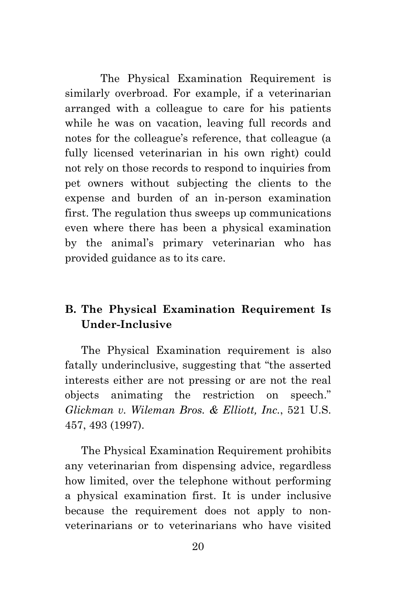The Physical Examination Requirement is similarly overbroad. For example, if a veterinarian arranged with a colleague to care for his patients while he was on vacation, leaving full records and notes for the colleague's reference, that colleague (a fully licensed veterinarian in his own right) could not rely on those records to respond to inquiries from pet owners without subjecting the clients to the expense and burden of an in-person examination first. The regulation thus sweeps up communications even where there has been a physical examination by the animal's primary veterinarian who has provided guidance as to its care.

### **B. The Physical Examination Requirement Is Under-Inclusive**

The Physical Examination requirement is also fatally underinclusive, suggesting that "the asserted interests either are not pressing or are not the real objects animating the restriction on speech." *Glickman v. Wileman Bros. & Elliott, Inc.*, 521 U.S. 457, 493 (1997).

The Physical Examination Requirement prohibits any veterinarian from dispensing advice, regardless how limited, over the telephone without performing a physical examination first. It is under inclusive because the requirement does not apply to nonveterinarians or to veterinarians who have visited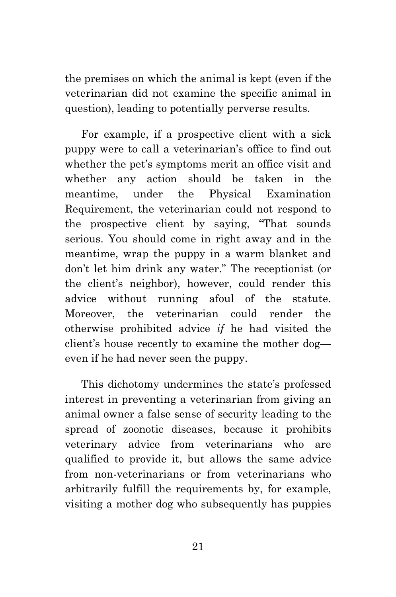the premises on which the animal is kept (even if the veterinarian did not examine the specific animal in question), leading to potentially perverse results.

For example, if a prospective client with a sick puppy were to call a veterinarian's office to find out whether the pet's symptoms merit an office visit and whether any action should be taken in the meantime, under the Physical Examination Requirement, the veterinarian could not respond to the prospective client by saying, "That sounds serious. You should come in right away and in the meantime, wrap the puppy in a warm blanket and don't let him drink any water." The receptionist (or the client's neighbor), however, could render this advice without running afoul of the statute. Moreover, the veterinarian could render the otherwise prohibited advice *if* he had visited the client's house recently to examine the mother dog even if he had never seen the puppy.

This dichotomy undermines the state's professed interest in preventing a veterinarian from giving an animal owner a false sense of security leading to the spread of zoonotic diseases, because it prohibits veterinary advice from veterinarians who are qualified to provide it, but allows the same advice from non-veterinarians or from veterinarians who arbitrarily fulfill the requirements by, for example, visiting a mother dog who subsequently has puppies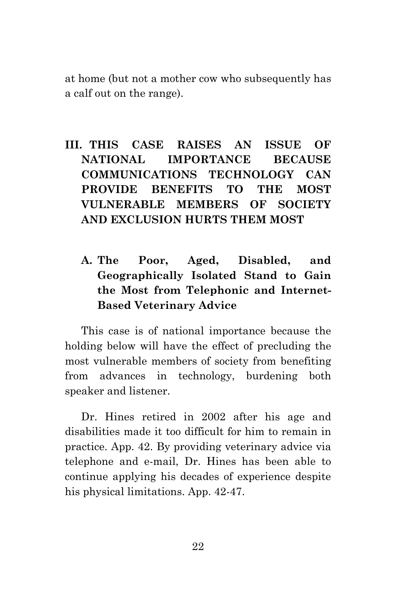at home (but not a mother cow who subsequently has a calf out on the range).

## **III. THIS CASE RAISES AN ISSUE OF NATIONAL IMPORTANCE BECAUSE COMMUNICATIONS TECHNOLOGY CAN PROVIDE BENEFITS TO THE MOST VULNERABLE MEMBERS OF SOCIETY AND EXCLUSION HURTS THEM MOST**

**A. The Poor, Aged, Disabled, and Geographically Isolated Stand to Gain the Most from Telephonic and Internet-Based Veterinary Advice**

This case is of national importance because the holding below will have the effect of precluding the most vulnerable members of society from benefiting from advances in technology, burdening both speaker and listener.

Dr. Hines retired in 2002 after his age and disabilities made it too difficult for him to remain in practice. App. 42. By providing veterinary advice via telephone and e-mail, Dr. Hines has been able to continue applying his decades of experience despite his physical limitations. App. 42-47.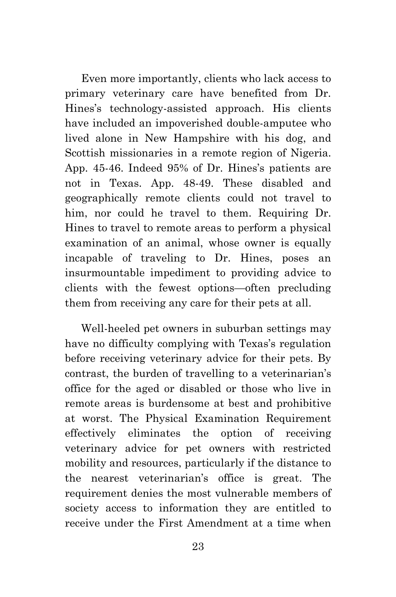Even more importantly, clients who lack access to primary veterinary care have benefited from Dr. Hines's technology-assisted approach. His clients have included an impoverished double-amputee who lived alone in New Hampshire with his dog, and Scottish missionaries in a remote region of Nigeria. App. 45-46. Indeed 95% of Dr. Hines's patients are not in Texas. App. 48-49. These disabled and geographically remote clients could not travel to him, nor could he travel to them. Requiring Dr. Hines to travel to remote areas to perform a physical examination of an animal, whose owner is equally incapable of traveling to Dr. Hines, poses an insurmountable impediment to providing advice to clients with the fewest options—often precluding them from receiving any care for their pets at all.

Well-heeled pet owners in suburban settings may have no difficulty complying with Texas's regulation before receiving veterinary advice for their pets. By contrast, the burden of travelling to a veterinarian's office for the aged or disabled or those who live in remote areas is burdensome at best and prohibitive at worst. The Physical Examination Requirement effectively eliminates the option of receiving veterinary advice for pet owners with restricted mobility and resources, particularly if the distance to the nearest veterinarian's office is great. The requirement denies the most vulnerable members of society access to information they are entitled to receive under the First Amendment at a time when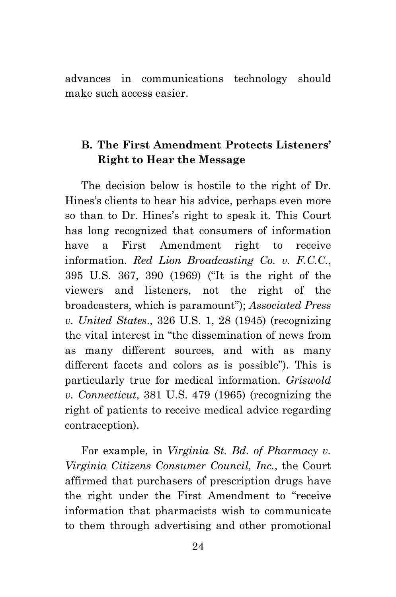advances in communications technology should make such access easier.

### **B. The First Amendment Protects Listeners' Right to Hear the Message**

The decision below is hostile to the right of Dr. Hines's clients to hear his advice, perhaps even more so than to Dr. Hines's right to speak it. This Court has long recognized that consumers of information have a First Amendment right to receive information. *Red Lion Broadcasting Co. v. F.C.C.*, 395 U.S. 367, 390 (1969) ("It is the right of the viewers and listeners, not the right of the broadcasters, which is paramount"); *Associated Press v. United States*., 326 U.S. 1, 28 (1945) (recognizing the vital interest in "the dissemination of news from as many different sources, and with as many different facets and colors as is possible"). This is particularly true for medical information. *Griswold v. Connecticut*, 381 U.S. 479 (1965) (recognizing the right of patients to receive medical advice regarding contraception).

For example, in *Virginia St. Bd. of Pharmacy v. Virginia Citizens Consumer Council, Inc.*, the Court affirmed that purchasers of prescription drugs have the right under the First Amendment to "receive information that pharmacists wish to communicate to them through advertising and other promotional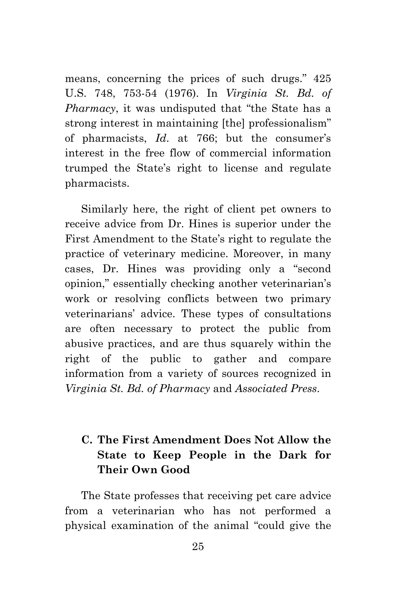means, concerning the prices of such drugs." 425 U.S. 748, 753-54 (1976). In *Virginia St. Bd. of Pharmacy*, it was undisputed that "the State has a strong interest in maintaining [the] professionalism" of pharmacists, *Id*. at 766; but the consumer's interest in the free flow of commercial information trumped the State's right to license and regulate pharmacists.

Similarly here, the right of client pet owners to receive advice from Dr. Hines is superior under the First Amendment to the State's right to regulate the practice of veterinary medicine. Moreover, in many cases, Dr. Hines was providing only a "second opinion," essentially checking another veterinarian's work or resolving conflicts between two primary veterinarians' advice. These types of consultations are often necessary to protect the public from abusive practices, and are thus squarely within the right of the public to gather and compare information from a variety of sources recognized in *Virginia St. Bd. of Pharmacy* and *Associated Press*.

## **C. The First Amendment Does Not Allow the State to Keep People in the Dark for Their Own Good**

The State professes that receiving pet care advice from a veterinarian who has not performed a physical examination of the animal "could give the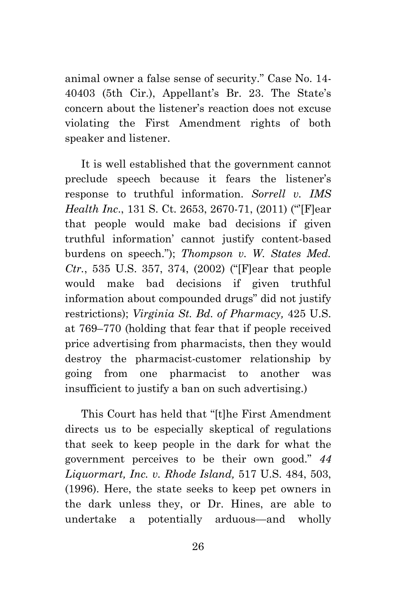animal owner a false sense of security." Case No. 14- 40403 (5th Cir.), Appellant's Br. 23. The State's concern about the listener's reaction does not excuse violating the First Amendment rights of both speaker and listener.

It is well established that the government cannot preclude speech because it fears the listener's response to truthful information. *Sorrell v. IMS Health Inc*., 131 S. Ct. 2653, 2670-71, (2011) ("'[F]ear that people would make bad decisions if given truthful information' cannot justify content-based burdens on speech."); *Thompson v. W. States Med. Ctr.*, 535 U.S. 357, 374, (2002) ("[F]ear that people would make bad decisions if given truthful information about compounded drugs" did not justify restrictions); *Virginia St. Bd. of Pharmacy,* 425 U.S. at 769–770 (holding that fear that if people received price advertising from pharmacists, then they would destroy the pharmacist-customer relationship by going from one pharmacist to another was insufficient to justify a ban on such advertising.)

This Court has held that "[t]he First Amendment directs us to be especially skeptical of regulations that seek to keep people in the dark for what the government perceives to be their own good." *44 Liquormart, Inc. v. Rhode Island,* 517 U.S. 484, 503, (1996). Here, the state seeks to keep pet owners in the dark unless they, or Dr. Hines, are able to undertake a potentially arduous—and wholly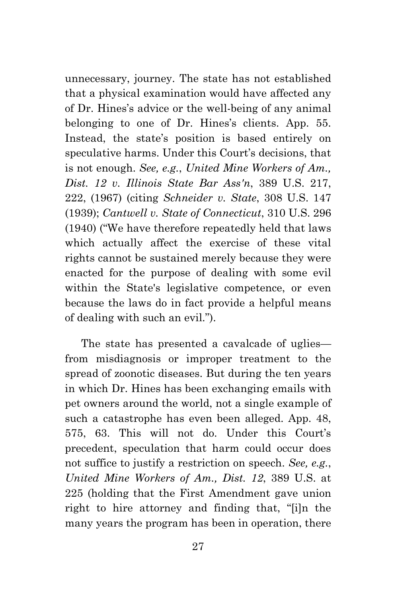unnecessary, journey. The state has not established that a physical examination would have affected any of Dr. Hines's advice or the well-being of any animal belonging to one of Dr. Hines's clients. App. 55. Instead, the state's position is based entirely on speculative harms. Under this Court's decisions, that is not enough. *See, e.g.*, *United Mine Workers of Am., Dist. 12 v. Illinois State Bar Ass'n*, 389 U.S. 217, 222, (1967) (citing *Schneider v. State*, 308 U.S. 147 (1939); *Cantwell v. State of Connecticut*, 310 U.S. 296 (1940) ("We have therefore repeatedly held that laws which actually affect the exercise of these vital rights cannot be sustained merely because they were enacted for the purpose of dealing with some evil within the State's legislative competence, or even because the laws do in fact provide a helpful means of dealing with such an evil.").

The state has presented a cavalcade of uglies from misdiagnosis or improper treatment to the spread of zoonotic diseases. But during the ten years in which Dr. Hines has been exchanging emails with pet owners around the world, not a single example of such a catastrophe has even been alleged. App. 48, 575, 63. This will not do. Under this Court's precedent, speculation that harm could occur does not suffice to justify a restriction on speech. *See, e.g.*, *United Mine Workers of Am., Dist. 12*, 389 U.S. at 225 (holding that the First Amendment gave union right to hire attorney and finding that, "[i]n the many years the program has been in operation, there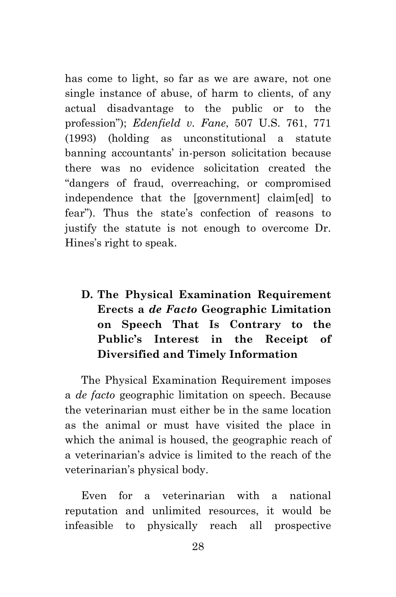has come to light, so far as we are aware, not one single instance of abuse, of harm to clients, of any actual disadvantage to the public or to the profession"); *Edenfield v. Fane*, 507 U.S. 761, 771 (1993) (holding as unconstitutional a statute banning accountants' in-person solicitation because there was no evidence solicitation created the "dangers of fraud, overreaching, or compromised independence that the [government] claim[ed] to fear"). Thus the state's confection of reasons to justify the statute is not enough to overcome Dr. Hines's right to speak.

## **D. The Physical Examination Requirement Erects a** *de Facto* **Geographic Limitation on Speech That Is Contrary to the Public's Interest in the Receipt of Diversified and Timely Information**

The Physical Examination Requirement imposes a *de facto* geographic limitation on speech. Because the veterinarian must either be in the same location as the animal or must have visited the place in which the animal is housed, the geographic reach of a veterinarian's advice is limited to the reach of the veterinarian's physical body.

Even for a veterinarian with a national reputation and unlimited resources, it would be infeasible to physically reach all prospective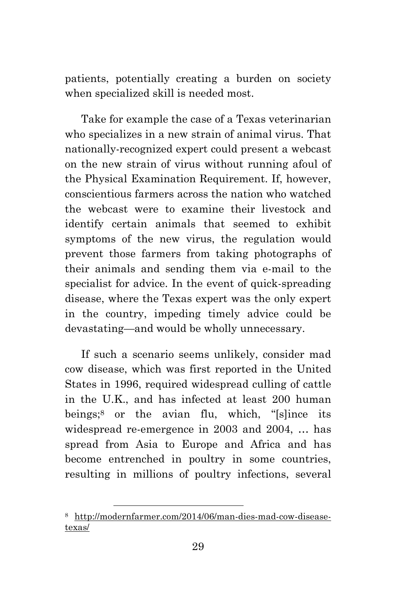patients, potentially creating a burden on society when specialized skill is needed most.

Take for example the case of a Texas veterinarian who specializes in a new strain of animal virus. That nationally-recognized expert could present a webcast on the new strain of virus without running afoul of the Physical Examination Requirement. If, however, conscientious farmers across the nation who watched the webcast were to examine their livestock and identify certain animals that seemed to exhibit symptoms of the new virus, the regulation would prevent those farmers from taking photographs of their animals and sending them via e-mail to the specialist for advice. In the event of quick-spreading disease, where the Texas expert was the only expert in the country, impeding timely advice could be devastating—and would be wholly unnecessary.

If such a scenario seems unlikely, consider mad cow disease, which was first reported in the United States in 1996, required widespread culling of cattle in the U.K., and has infected at least 200 human beings;[8](#page-37-0) or the avian flu, which, "[s]ince its widespread re-emergence in 2003 and 2004, … has spread from Asia to Europe and Africa and has become entrenched in poultry in some countries, resulting in millions of poultry infections, several

<span id="page-37-0"></span><sup>8</sup> http://modernfarmer.com/2014/06/man-dies-mad-cow-diseasetexas/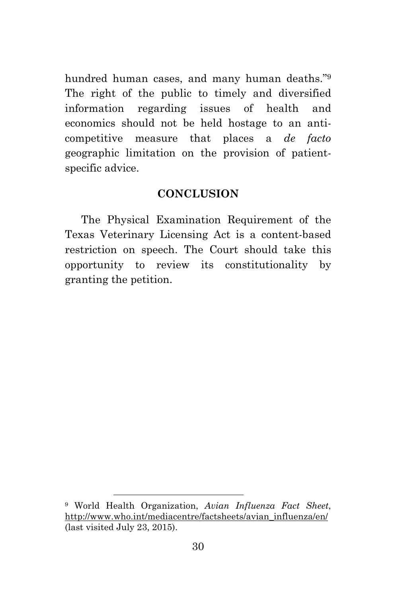hundred human cases, and many human deaths."[9](#page-38-0) The right of the public to timely and diversified information regarding issues of health and economics should not be held hostage to an anticompetitive measure that places a *de facto* geographic limitation on the provision of patientspecific advice.

#### **CONCLUSION**

The Physical Examination Requirement of the Texas Veterinary Licensing Act is a content-based restriction on speech. The Court should take this opportunity to review its constitutionality by granting the petition.

<span id="page-38-0"></span><sup>9</sup> World Health Organization, *Avian Influenza Fact Sheet*, http://www.who.int/mediacentre/factsheets/avian\_influenza/en/ (last visited July 23, 2015).